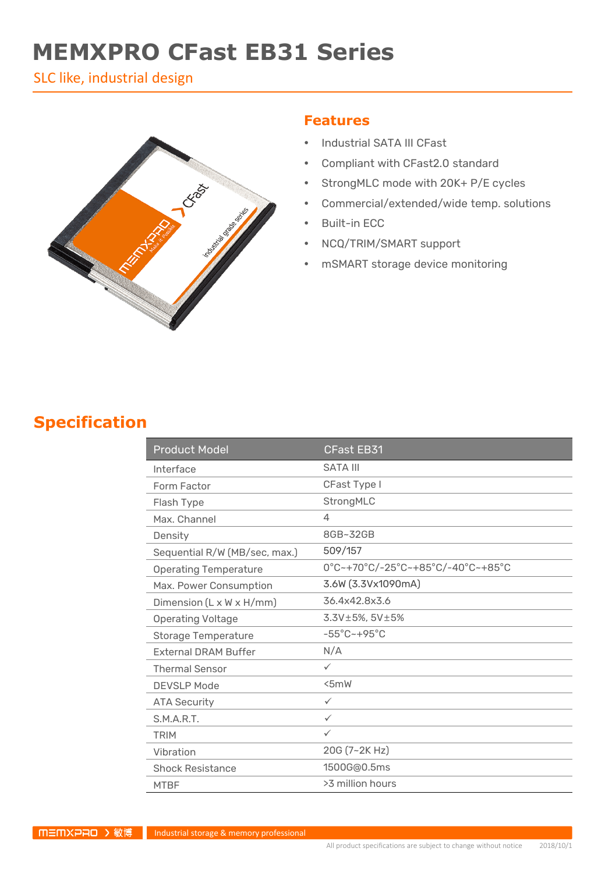# **MEMXPRO CFast EB31 Series**

SLC like, industrial design



#### **Features**

- Industrial SATA III CFast
- Compliant with CFast2.0 standard
- StrongMLC mode with 20K+ P/E cycles
- Commercial/extended/wide temp. solutions
- Built-in ECC
- NCQ/TRIM/SMART support
- mSMART storage device monitoring

### **Specification**

| <b>Product Model</b>                 | <b>CFast EB31</b>                                                                                  |  |
|--------------------------------------|----------------------------------------------------------------------------------------------------|--|
| Interface                            | <b>SATA III</b>                                                                                    |  |
| Form Factor                          | CFast Type I                                                                                       |  |
| Flash Type                           | StrongMLC                                                                                          |  |
| Max. Channel                         | 4                                                                                                  |  |
| Density                              | 8GB~32GB                                                                                           |  |
| Sequential R/W (MB/sec, max.)        | 509/157                                                                                            |  |
| <b>Operating Temperature</b>         | $0^{\circ}$ C~+70 $^{\circ}$ C/-25 $^{\circ}$ C~+85 $^{\circ}$ C/-40 $^{\circ}$ C~+85 $^{\circ}$ C |  |
| Max. Power Consumption               | 3.6W (3.3Vx1090mA)                                                                                 |  |
| Dimension $(L \times W \times H/mm)$ | 36.4x42.8x3.6                                                                                      |  |
| <b>Operating Voltage</b>             | 3.3V±5%, 5V±5%                                                                                     |  |
| <b>Storage Temperature</b>           | $-55^{\circ}$ C ~ +95 $^{\circ}$ C                                                                 |  |
| <b>External DRAM Buffer</b>          | N/A                                                                                                |  |
| <b>Thermal Sensor</b>                | $\checkmark$                                                                                       |  |
| <b>DEVSLP Mode</b>                   | 5mW                                                                                                |  |
| <b>ATA Security</b>                  | $\checkmark$                                                                                       |  |
| S.M.A.R.T.                           | ✓                                                                                                  |  |
| <b>TRIM</b>                          | $\checkmark$                                                                                       |  |
| Vibration                            | 20G (7~2K Hz)                                                                                      |  |
| <b>Shock Resistance</b>              | 1500G@0.5ms                                                                                        |  |
| <b>MTBF</b>                          | >3 million hours                                                                                   |  |